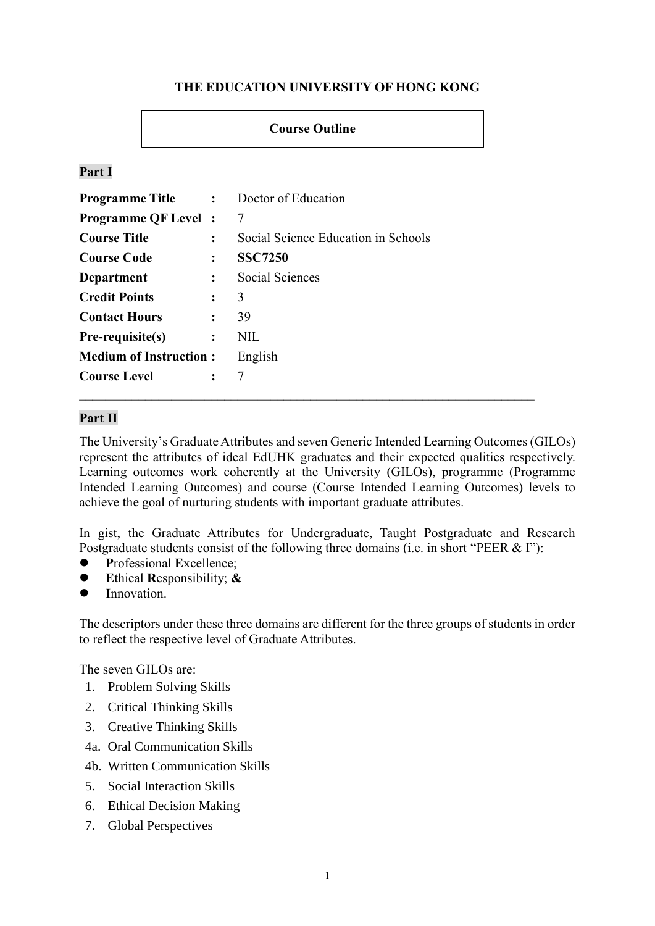# **THE EDUCATION UNIVERSITY OF HONG KONG**

# **Course Outline**

# **Part I**

| <b>Programme Title :</b> Doctor of Education |                      |                                     |
|----------------------------------------------|----------------------|-------------------------------------|
| <b>Programme QF Level:</b>                   |                      | 7                                   |
| <b>Course Title</b>                          | $\ddot{\phantom{a}}$ | Social Science Education in Schools |
| <b>Course Code</b>                           | $\ddot{\cdot}$       | <b>SSC7250</b>                      |
| <b>Department</b>                            | $\ddot{\cdot}$       | <b>Social Sciences</b>              |
| <b>Credit Points</b>                         | $\ddot{\cdot}$       | 3                                   |
| <b>Contact Hours</b>                         | $\ddot{\cdot}$       | 39                                  |
| Pre-requisite(s)                             | $\ddot{\cdot}$       | <b>NIL</b>                          |
| <b>Medium of Instruction:</b>                |                      | English                             |
| <b>Course Level</b>                          | $\ddot{\cdot}$       | 7                                   |

# **Part II**

The University's Graduate Attributes and seven Generic Intended Learning Outcomes (GILOs) represent the attributes of ideal EdUHK graduates and their expected qualities respectively. Learning outcomes work coherently at the University (GILOs), programme (Programme Intended Learning Outcomes) and course (Course Intended Learning Outcomes) levels to achieve the goal of nurturing students with important graduate attributes.

In gist, the Graduate Attributes for Undergraduate, Taught Postgraduate and Research Postgraduate students consist of the following three domains (i.e. in short "PEER & I"):

- **P**rofessional **E**xcellence;
- **E**thical **R**esponsibility; **&**
- **I**nnovation.

The descriptors under these three domains are different for the three groups of students in order to reflect the respective level of Graduate Attributes.

The seven GILOs are:

- 1. Problem Solving Skills
- 2. Critical Thinking Skills
- 3. Creative Thinking Skills
- 4a. Oral Communication Skills
- 4b. Written Communication Skills
- 5. Social Interaction Skills
- 6. Ethical Decision Making
- 7. Global Perspectives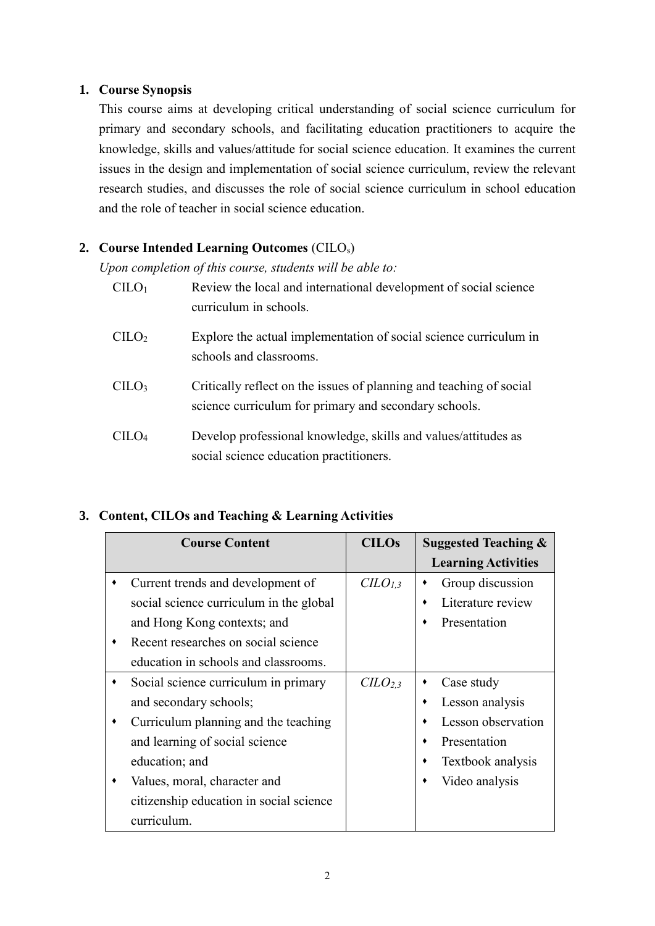## **1. Course Synopsis**

This course aims at developing critical understanding of social science curriculum for primary and secondary schools, and facilitating education practitioners to acquire the knowledge, skills and values/attitude for social science education. It examines the current issues in the design and implementation of social science curriculum, review the relevant research studies, and discusses the role of social science curriculum in school education and the role of teacher in social science education.

# **2. Course Intended Learning Outcomes** (CILOs)

*Upon completion of this course, students will be able to:*

| C <sub>II</sub> O <sub>1</sub> | Review the local and international development of social science<br>curriculum in schools.                                   |
|--------------------------------|------------------------------------------------------------------------------------------------------------------------------|
| C <sub>1</sub> LO <sub>2</sub> | Explore the actual implementation of social science curriculum in<br>schools and classrooms.                                 |
| $CII O3$                       | Critically reflect on the issues of planning and teaching of social<br>science curriculum for primary and secondary schools. |
| $CII O4$                       | Develop professional knowledge, skills and values/attitudes as<br>social science education practitioners.                    |

# **3. Content, CILOs and Teaching & Learning Activities**

| <b>Course Content</b>                   | <b>CILOs</b>                    | <b>Suggested Teaching &amp;</b> |
|-----------------------------------------|---------------------------------|---------------------------------|
|                                         |                                 | <b>Learning Activities</b>      |
| Current trends and development of       | $CLO_{1,3}$                     | Group discussion<br>٠           |
| social science curriculum in the global |                                 | Literature review<br>٠          |
| and Hong Kong contexts; and             |                                 | Presentation<br>٠               |
| Recent researches on social science     |                                 |                                 |
| education in schools and classrooms.    |                                 |                                 |
| Social science curriculum in primary    | C <sub>L</sub> O <sub>2,3</sub> | Case study<br>٠                 |
| and secondary schools;                  |                                 | Lesson analysis<br>٠            |
| Curriculum planning and the teaching    |                                 | Lesson observation<br>٠         |
| and learning of social science          |                                 | Presentation<br>٠               |
| education; and                          |                                 | Textbook analysis<br>٠          |
| Values, moral, character and            |                                 | Video analysis<br>٠             |
| citizenship education in social science |                                 |                                 |
| curriculum.                             |                                 |                                 |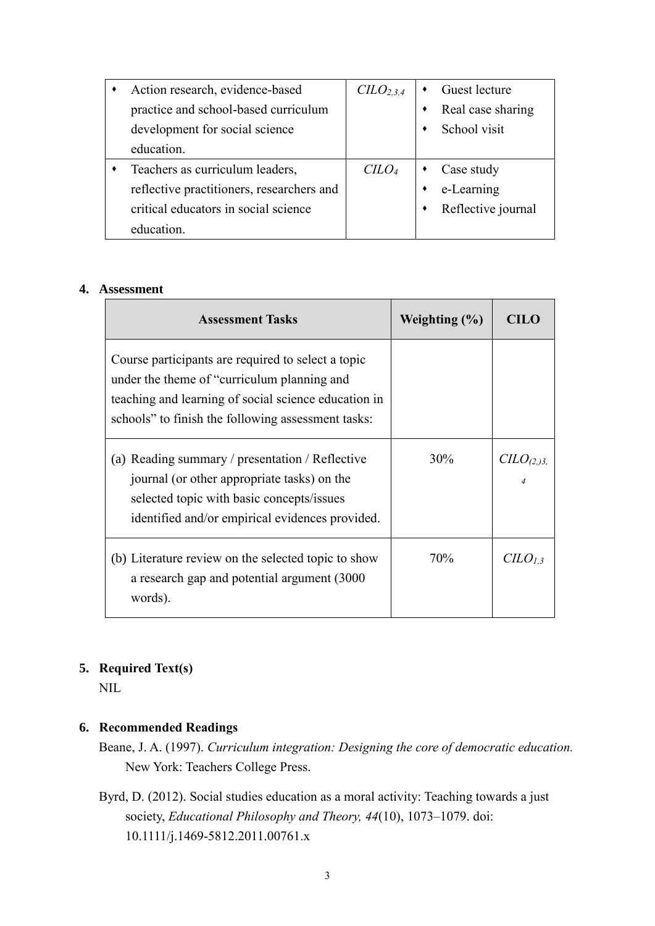| Action research, evidence-based           | C <sub>L</sub> O <sub>2,3,4</sub> |   | Guest lecture      |
|-------------------------------------------|-----------------------------------|---|--------------------|
| practice and school-based curriculum      |                                   | ٠ | Real case sharing  |
| development for social science            |                                   | ٠ | School visit       |
| education.                                |                                   |   |                    |
| Teachers as curriculum leaders,           | C <sub>LO<sub>4</sub></sub>       |   | Case study         |
| reflective practitioners, researchers and |                                   |   | e-Learning         |
| critical educators in social science      |                                   | ٠ | Reflective journal |
| education.                                |                                   |   |                    |

#### **4. Assessment**

| <b>Assessment Tasks</b>                                                                                                                                                                                         | Weighting $(\% )$ | CHL.                               |
|-----------------------------------------------------------------------------------------------------------------------------------------------------------------------------------------------------------------|-------------------|------------------------------------|
| Course participants are required to select a topic<br>under the theme of "curriculum planning and<br>teaching and learning of social science education in<br>schools" to finish the following assessment tasks: |                   |                                    |
| (a) Reading summary / presentation / Reflective<br>journal (or other appropriate tasks) on the<br>selected topic with basic concepts/issues<br>identified and/or empirical evidences provided.                  | 30%               | C <sub>LO</sub> <sub>(2,3,4)</sub> |
| (b) Literature review on the selected topic to show<br>a research gap and potential argument (3000)<br>words).                                                                                                  | 70%               | CLO <sub>1,3</sub>                 |

# **5. Required Text(s)**

NIL

# **6. Recommended Readings**

- Beane, J. A. (1997). *Curriculum integration: Designing the core of democratic education.* New York: Teachers College Press.
- Byrd, D. (2012). Social studies education as a moral activity: Teaching towards a just society, *Educational Philosophy and Theory, 44*(10), 1073–1079. doi: 10.1111/j.1469-5812.2011.00761.x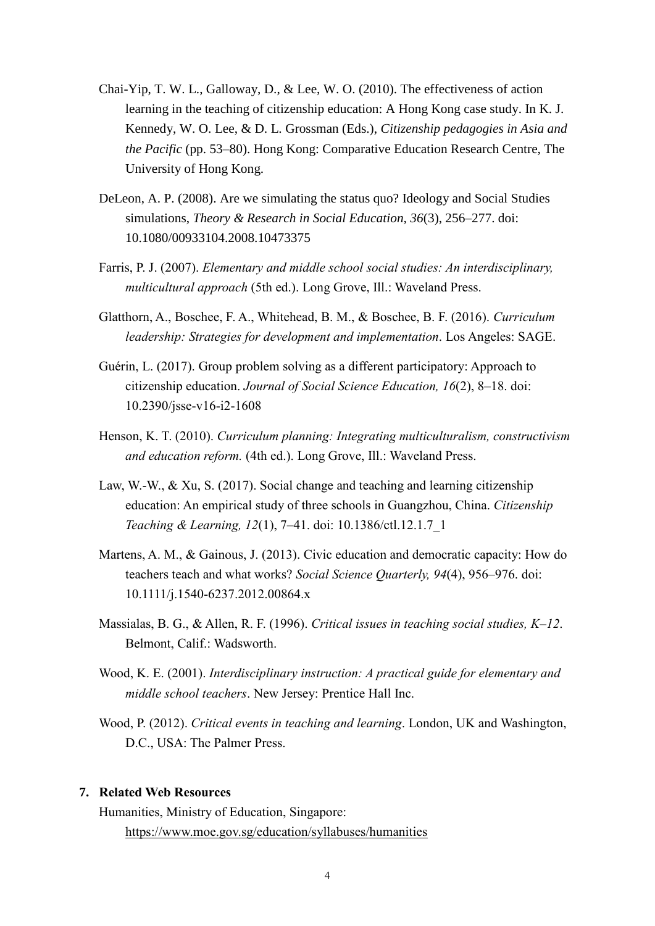- Chai-Yip, T. W. L., Galloway, D., & Lee, W. O. (2010). The effectiveness of action learning in the teaching of citizenship education: A Hong Kong case study. In K. J. Kennedy, W. O. Lee, & D. L. Grossman (Eds.), *Citizenship pedagogies in Asia and the Pacific* (pp. 53–80). Hong Kong: Comparative Education Research Centre, The University of Hong Kong.
- DeLeon, A. P. (2008). Are we simulating the status quo? Ideology and Social Studies simulations, *Theory & Research in Social Education, 36*(3), 256–277. doi: 10.1080/00933104.2008.10473375
- Farris, P. J. (2007). *Elementary and middle school social studies: An interdisciplinary, multicultural approach* (5th ed.). Long Grove, Ill.: Waveland Press.
- Glatthorn, A., Boschee, F. A., Whitehead, B. M., & Boschee, B. F. (2016). *Curriculum leadership: Strategies for development and implementation*. Los Angeles: SAGE.
- Guérin, L. (2017). Group problem solving as a different participatory: Approach to citizenship education. *Journal of Social Science Education, 16*(2), 8–18. doi: 10.2390/jsse-v16-i2-1608
- Henson, K. T. (2010). *Curriculum planning: Integrating multiculturalism, constructivism and education reform.* (4th ed.). Long Grove, Ill.: Waveland Press.
- Law, W.-W., & Xu, S. (2017). Social change and teaching and learning citizenship education: An empirical study of three schools in Guangzhou, China. *Citizenship Teaching & Learning, 12*(1), 7–41. doi: 10.1386/ctl.12.1.7\_1
- Martens, A. M., & Gainous, J. (2013). Civic education and democratic capacity: How do teachers teach and what works? *Social Science Quarterly, 94*(4), 956–976. doi: 10.1111/j.1540-6237.2012.00864.x
- Massialas, B. G., & Allen, R. F. (1996). *Critical issues in teaching social studies, K–12*. Belmont, Calif.: Wadsworth.
- Wood, K. E. (2001). *Interdisciplinary instruction: A practical guide for elementary and middle school teachers*. New Jersey: Prentice Hall Inc.
- Wood, P. (2012). *Critical events in teaching and learning*. London, UK and Washington, D.C., USA: The Palmer Press.

### **7. Related Web Resources**

Humanities, Ministry of Education, Singapore: <https://www.moe.gov.sg/education/syllabuses/humanities>